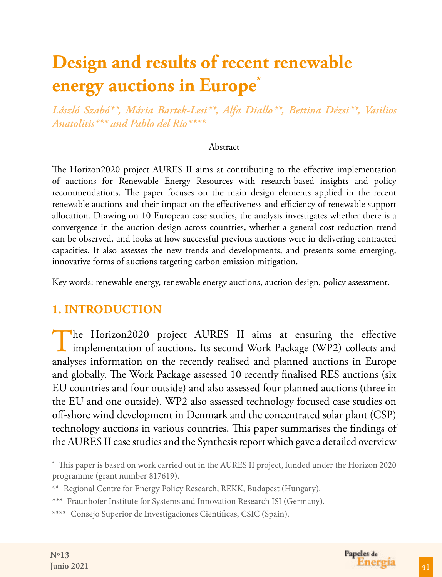*László Szabó\*\*, Mária Bartek-Lesi\*\*, Alfa Diallo\*\*, Bettina Dézsi\*\*, Vasilios Anatolitis\*\*\* and Pablo del Río\*\*\*\** 

#### Abstract

The Horizon2020 project AURES II aims at contributing to the effective implementation of auctions for Renewable Energy Resources with research-based insights and policy recommendations. The paper focuses on the main design elements applied in the recent renewable auctions and their impact on the effectiveness and efficiency of renewable support allocation. Drawing on 10 European case studies, the analysis investigates whether there is a convergence in the auction design across countries, whether a general cost reduction trend can be observed, and looks at how successful previous auctions were in delivering contracted capacities. It also assesses the new trends and developments, and presents some emerging, innovative forms of auctions targeting carbon emission mitigation.

Key words: renewable energy, renewable energy auctions, auction design, policy assessment.

### **1. INTRODUCTION**

The Horizon2020 project AURES II aims at ensuring the effective implementation of auctions. Its second Work Package (WP2) collects and analyses information on the recently realised and planned auctions in Europe and globally. The Work Package assessed 10 recently finalised RES auctions (six EU countries and four outside) and also assessed four planned auctions (three in the EU and one outside). WP2 also assessed technology focused case studies on off-shore wind development in Denmark and the concentrated solar plant (CSP) technology auctions in various countries. This paper summarises the findings of the AURES II case studies and the Synthesis report which gave a detailed overview

<sup>\*</sup> This paper is based on work carried out in the AURES II project, funded under the Horizon 2020 programme (grant number 817619).

<sup>\*\*</sup> Regional Centre for Energy Policy Research, REKK, Budapest (Hungary).

<sup>\*\*\*</sup> Fraunhofer Institute for Systems and Innovation Research ISI (Germany).

<sup>\*\*\*\*</sup> Consejo Superior de Investigaciones Científicas, CSIC (Spain).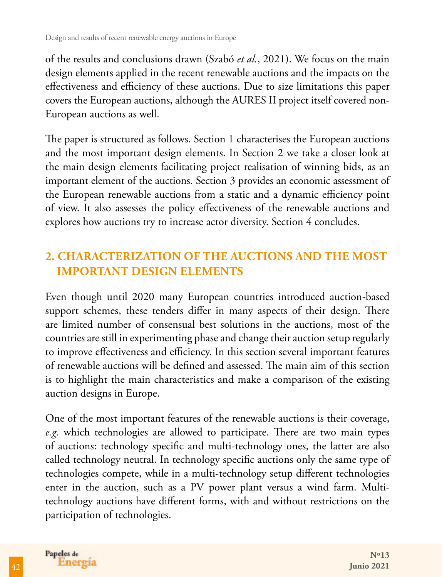of the results and conclusions drawn (Szabó *et al.*, 2021). We focus on the main design elements applied in the recent renewable auctions and the impacts on the effectiveness and efficiency of these auctions. Due to size limitations this paper covers the European auctions, although the AURES II project itself covered non-European auctions as well.

The paper is structured as follows. Section 1 characterises the European auctions and the most important design elements. In Section 2 we take a closer look at the main design elements facilitating project realisation of winning bids, as an important element of the auctions. Section 3 provides an economic assessment of the European renewable auctions from a static and a dynamic efficiency point of view. It also assesses the policy effectiveness of the renewable auctions and explores how auctions try to increase actor diversity. Section 4 concludes.

### **2. CHARACTERIZATION OF THE AUCTIONS AND THE MOST IMPORTANT DESIGN ELEMENTS**

Even though until 2020 many European countries introduced auction-based support schemes, these tenders differ in many aspects of their design. There are limited number of consensual best solutions in the auctions, most of the countries are still in experimenting phase and change their auction setup regularly to improve effectiveness and efficiency. In this section several important features of renewable auctions will be defined and assessed. The main aim of this section is to highlight the main characteristics and make a comparison of the existing auction designs in Europe.

One of the most important features of the renewable auctions is their coverage, *e.g.* which technologies are allowed to participate. There are two main types of auctions: technology specific and multi-technology ones, the latter are also called technology neutral. In technology specific auctions only the same type of technologies compete, while in a multi-technology setup different technologies enter in the auction, such as a PV power plant versus a wind farm. Multitechnology auctions have different forms, with and without restrictions on the participation of technologies.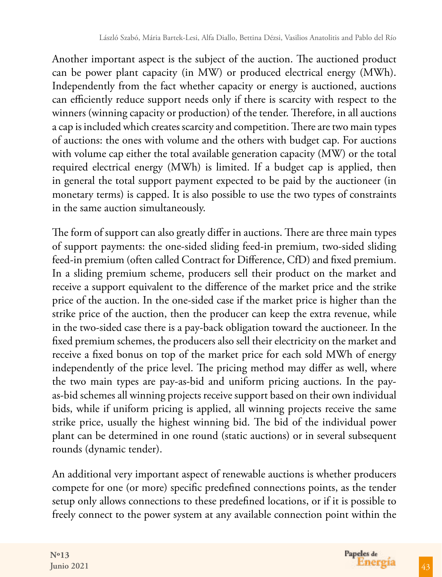Another important aspect is the subject of the auction. The auctioned product can be power plant capacity (in MW) or produced electrical energy (MWh). Independently from the fact whether capacity or energy is auctioned, auctions can efficiently reduce support needs only if there is scarcity with respect to the winners (winning capacity or production) of the tender. Therefore, in all auctions a cap is included which creates scarcity and competition. There are two main types of auctions: the ones with volume and the others with budget cap. For auctions with volume cap either the total available generation capacity (MW) or the total required electrical energy (MWh) is limited. If a budget cap is applied, then in general the total support payment expected to be paid by the auctioneer (in monetary terms) is capped. It is also possible to use the two types of constraints in the same auction simultaneously.

The form of support can also greatly differ in auctions. There are three main types of support payments: the one-sided sliding feed-in premium, two-sided sliding feed-in premium (often called Contract for Difference, CfD) and fixed premium. In a sliding premium scheme, producers sell their product on the market and receive a support equivalent to the difference of the market price and the strike price of the auction. In the one-sided case if the market price is higher than the strike price of the auction, then the producer can keep the extra revenue, while in the two-sided case there is a pay-back obligation toward the auctioneer. In the fixed premium schemes, the producers also sell their electricity on the market and receive a fixed bonus on top of the market price for each sold MWh of energy independently of the price level. The pricing method may differ as well, where the two main types are pay-as-bid and uniform pricing auctions. In the payas-bid schemes all winning projects receive support based on their own individual bids, while if uniform pricing is applied, all winning projects receive the same strike price, usually the highest winning bid. The bid of the individual power plant can be determined in one round (static auctions) or in several subsequent rounds (dynamic tender).

An additional very important aspect of renewable auctions is whether producers compete for one (or more) specific predefined connections points, as the tender setup only allows connections to these predefined locations, or if it is possible to freely connect to the power system at any available connection point within the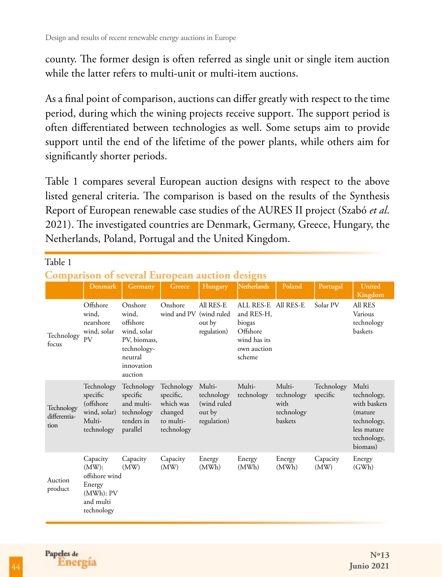county. The former design is often referred as single unit or single item auction while the latter refers to multi-unit or multi-item auctions.

As a final point of comparison, auctions can differ greatly with respect to the time period, during which the wining projects receive support. The support period is often differentiated between technologies as well. Some setups aim to provide support until the end of the lifetime of the power plants, while others aim for significantly shorter periods.

Table 1 compares several European auction designs with respect to the above listed general criteria. The comparison is based on the results of the Synthesis Report of European renewable case studies of the AURES II project (Szabó *et al*. 2021). The investigated countries are Denmark, Germany, Greece, Hungary, the Netherlands, Poland, Portugal and the United Kingdom.

| Table 1                                               |                                                                                            |                                                                                                                |                                                                            |                                                               |                                                                                                  |                                                              |                        |                                                                                                           |
|-------------------------------------------------------|--------------------------------------------------------------------------------------------|----------------------------------------------------------------------------------------------------------------|----------------------------------------------------------------------------|---------------------------------------------------------------|--------------------------------------------------------------------------------------------------|--------------------------------------------------------------|------------------------|-----------------------------------------------------------------------------------------------------------|
| <b>Comparison of several European auction designs</b> |                                                                                            |                                                                                                                |                                                                            |                                                               |                                                                                                  |                                                              |                        |                                                                                                           |
|                                                       | <b>Denmark</b>                                                                             | Germany                                                                                                        | Greece                                                                     | Hungary                                                       | <b>Netherlands</b>                                                                               | Poland                                                       | Portugal               | <b>United</b><br>Kingdom                                                                                  |
| Technology<br>focus                                   | Offshore<br>wind.<br>nearshore<br>wind, solar<br><b>PV</b>                                 | Onshore<br>wind.<br>offshore<br>wind, solar<br>PV, biomass,<br>technology-<br>neutral<br>innovation<br>auction | Onshore<br>wind and PV (wind ruled                                         | All RES-E<br>out by<br>regulation)                            | ALL RES-E All RES-E<br>and RES-H.<br>biogas<br>Offshore<br>wind has its<br>own auction<br>scheme |                                                              | Solar PV               | All RES<br>Various<br>technology<br>baskets                                                               |
| Technology<br>differentia-<br>tion                    | Technology<br>specific<br>(offshore)<br>wind, solar)<br>Multi-<br>technology               | Technology<br>specific<br>and multi-<br>technology<br>tenders in<br>parallel                                   | Technology<br>specific,<br>which was<br>changed<br>to multi-<br>technology | Multi-<br>technology<br>(wind ruled)<br>out by<br>regulation) | Multi-<br>technology                                                                             | Multi-<br>technology<br>with<br>technology<br><b>baskets</b> | Technology<br>specific | Multi<br>technology,<br>with baskets<br>(mature)<br>technology,<br>less mature<br>technology,<br>biomass) |
| Auction<br>product                                    | Capacity<br>$(MW)$ :<br>offshore wind<br>Energy<br>$(MWh)$ : PV<br>and multi<br>technology | Capacity<br>(MW)                                                                                               | Capacity<br>(MW)                                                           | Energy<br>(MWh)                                               | Energy<br>(MWh)                                                                                  | Energy<br>(MWh)                                              | Capacity<br>(MW)       | Energy<br>(GWh)                                                                                           |

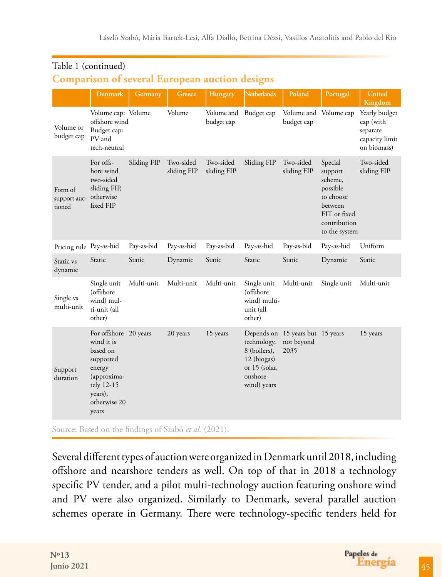|                                   | <b>Denmark</b>                                                                                                                          | Germany     | Greece                   | Hungary                             | <b>Netherlands</b>                                                                    | Poland                                                 | Portugal                                                                                                           | United<br>Kingdom                                                       |
|-----------------------------------|-----------------------------------------------------------------------------------------------------------------------------------------|-------------|--------------------------|-------------------------------------|---------------------------------------------------------------------------------------|--------------------------------------------------------|--------------------------------------------------------------------------------------------------------------------|-------------------------------------------------------------------------|
| Volume or<br>budget cap           | Volume cap: Volume<br>offshore wind<br>Budget cap:<br>PV and<br>tech-neutral                                                            |             | Volume                   | Volume and Budget cap<br>budget cap |                                                                                       | Volume and Volume cap<br>budget cap                    |                                                                                                                    | Yearly budget<br>cap (with<br>separate<br>capacity limit<br>on biomass) |
| Form of<br>support auc-<br>tioned | For offs-<br>hore wind<br>two-sided<br>sliding FIP,<br>otherwise<br>fixed FIP                                                           | Sliding FIP | Two-sided<br>sliding FIP | Two-sided<br>sliding FIP            | Sliding FIP                                                                           | Two-sided<br>sliding FIP                               | Special<br>support<br>scheme,<br>possible<br>to choose<br>between<br>FIT or fixed<br>contribution<br>to the system | Two-sided<br>sliding FIP                                                |
| Pricing rule Pay-as-bid           |                                                                                                                                         | Pay-as-bid  | Pay-as-bid               | Pay-as-bid                          | Pay-as-bid                                                                            | Pay-as-bid                                             | Pay-as-bid                                                                                                         | Uniform                                                                 |
| Static vs<br>dynamic              | Static                                                                                                                                  | Static      | Dynamic                  | Static                              | Static                                                                                | Static                                                 | Dynamic                                                                                                            | Static                                                                  |
| Single vs<br>multi-unit           | Single unit<br>(offshore)<br>wind) mul-<br>ti-unit (all<br>other)                                                                       | Multi-unit  | Multi-unit               | Multi-unit                          | Single unit<br>(offshore<br>wind) multi-<br>unit (all<br>other)                       | Multi-unit                                             | Single unit                                                                                                        | Multi-unit                                                              |
| Support<br>duration               | For offshore 20 years<br>wind it is<br>based on<br>supported<br>energy<br>(approxima-<br>tely 12-15<br>years),<br>otherwise 20<br>years |             | 20 years                 | 15 years                            | technology,<br>8 (boilers),<br>12 (biogas)<br>or 15 (solar,<br>onshore<br>wind) years | Depends on 15 years but 15 years<br>not beyond<br>2035 |                                                                                                                    | 15 years                                                                |

#### Table 1 (continued)

#### **Comparison of several European auction designs**

Source: Based on the findings of Szabó et al. (2021).

Several different types of auction were organized in Denmark until 2018, including offshore and nearshore tenders as well. On top of that in 2018 a technology specific PV tender, and a pilot multi-technology auction featuring onshore wind and PV were also organized. Similarly to Denmark, several parallel auction schemes operate in Germany. There were technology-specific tenders held for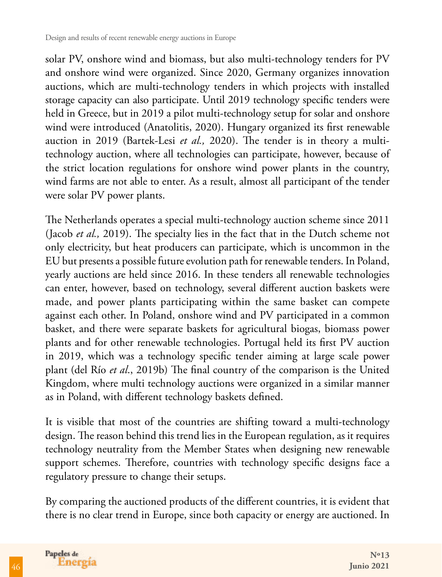solar PV, onshore wind and biomass, but also multi-technology tenders for PV and onshore wind were organized. Since 2020, Germany organizes innovation auctions, which are multi-technology tenders in which projects with installed storage capacity can also participate. Until 2019 technology specific tenders were held in Greece, but in 2019 a pilot multi-technology setup for solar and onshore wind were introduced (Anatolitis, 2020). Hungary organized its first renewable auction in 2019 (Bartek-Lesi *et al.,* 2020). The tender is in theory a multitechnology auction, where all technologies can participate, however, because of the strict location regulations for onshore wind power plants in the country, wind farms are not able to enter. As a result, almost all participant of the tender were solar PV power plants.

The Netherlands operates a special multi-technology auction scheme since 2011 (Jacob *et al.,* 2019). The specialty lies in the fact that in the Dutch scheme not only electricity, but heat producers can participate, which is uncommon in the EU but presents a possible future evolution path for renewable tenders. In Poland, yearly auctions are held since 2016. In these tenders all renewable technologies can enter, however, based on technology, several different auction baskets were made, and power plants participating within the same basket can compete against each other. In Poland, onshore wind and PV participated in a common basket, and there were separate baskets for agricultural biogas, biomass power plants and for other renewable technologies. Portugal held its first PV auction in 2019, which was a technology specific tender aiming at large scale power plant (del Río *et al*., 2019b) The final country of the comparison is the United Kingdom, where multi technology auctions were organized in a similar manner as in Poland, with different technology baskets defined.

It is visible that most of the countries are shifting toward a multi-technology design. The reason behind this trend lies in the European regulation, as it requires technology neutrality from the Member States when designing new renewable support schemes. Therefore, countries with technology specific designs face a regulatory pressure to change their setups.

By comparing the auctioned products of the different countries, it is evident that there is no clear trend in Europe, since both capacity or energy are auctioned. In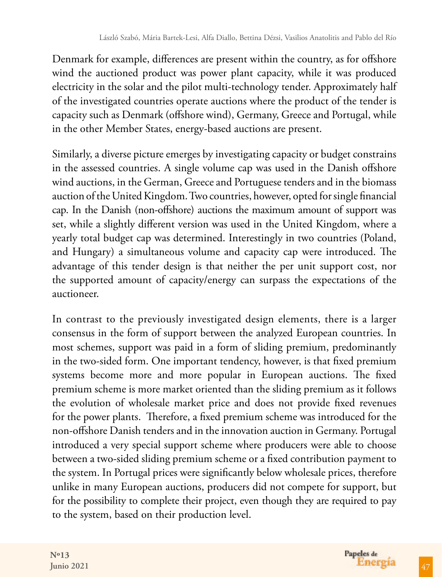Denmark for example, differences are present within the country, as for offshore wind the auctioned product was power plant capacity, while it was produced electricity in the solar and the pilot multi-technology tender. Approximately half of the investigated countries operate auctions where the product of the tender is capacity such as Denmark (offshore wind), Germany, Greece and Portugal, while in the other Member States, energy-based auctions are present.

Similarly, a diverse picture emerges by investigating capacity or budget constrains in the assessed countries. A single volume cap was used in the Danish offshore wind auctions, in the German, Greece and Portuguese tenders and in the biomass auction of the United Kingdom. Two countries, however, opted for single financial cap. In the Danish (non-offshore) auctions the maximum amount of support was set, while a slightly different version was used in the United Kingdom, where a yearly total budget cap was determined. Interestingly in two countries (Poland, and Hungary) a simultaneous volume and capacity cap were introduced. The advantage of this tender design is that neither the per unit support cost, nor the supported amount of capacity/energy can surpass the expectations of the auctioneer.

In contrast to the previously investigated design elements, there is a larger consensus in the form of support between the analyzed European countries. In most schemes, support was paid in a form of sliding premium, predominantly in the two-sided form. One important tendency, however, is that fixed premium systems become more and more popular in European auctions. The fixed premium scheme is more market oriented than the sliding premium as it follows the evolution of wholesale market price and does not provide fixed revenues for the power plants. Therefore, a fixed premium scheme was introduced for the non-offshore Danish tenders and in the innovation auction in Germany. Portugal introduced a very special support scheme where producers were able to choose between a two-sided sliding premium scheme or a fixed contribution payment to the system. In Portugal prices were significantly below wholesale prices, therefore unlike in many European auctions, producers did not compete for support, but for the possibility to complete their project, even though they are required to pay to the system, based on their production level.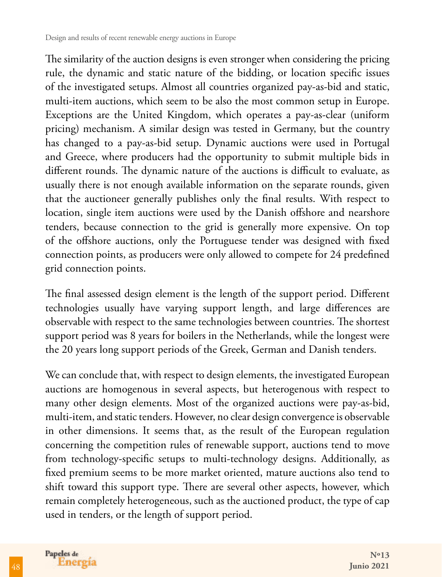The similarity of the auction designs is even stronger when considering the pricing rule, the dynamic and static nature of the bidding, or location specific issues of the investigated setups. Almost all countries organized pay-as-bid and static, multi-item auctions, which seem to be also the most common setup in Europe. Exceptions are the United Kingdom, which operates a pay-as-clear (uniform pricing) mechanism. A similar design was tested in Germany, but the country has changed to a pay-as-bid setup. Dynamic auctions were used in Portugal and Greece, where producers had the opportunity to submit multiple bids in different rounds. The dynamic nature of the auctions is difficult to evaluate, as usually there is not enough available information on the separate rounds, given that the auctioneer generally publishes only the final results. With respect to location, single item auctions were used by the Danish offshore and nearshore tenders, because connection to the grid is generally more expensive. On top of the offshore auctions, only the Portuguese tender was designed with fixed connection points, as producers were only allowed to compete for 24 predefined grid connection points.

The final assessed design element is the length of the support period. Different technologies usually have varying support length, and large differences are observable with respect to the same technologies between countries. The shortest support period was 8 years for boilers in the Netherlands, while the longest were the 20 years long support periods of the Greek, German and Danish tenders.

We can conclude that, with respect to design elements, the investigated European auctions are homogenous in several aspects, but heterogenous with respect to many other design elements. Most of the organized auctions were pay-as-bid, multi-item, and static tenders. However, no clear design convergence is observable in other dimensions. It seems that, as the result of the European regulation concerning the competition rules of renewable support, auctions tend to move from technology-specific setups to multi-technology designs. Additionally, as fixed premium seems to be more market oriented, mature auctions also tend to shift toward this support type. There are several other aspects, however, which remain completely heterogeneous, such as the auctioned product, the type of cap used in tenders, or the length of support period.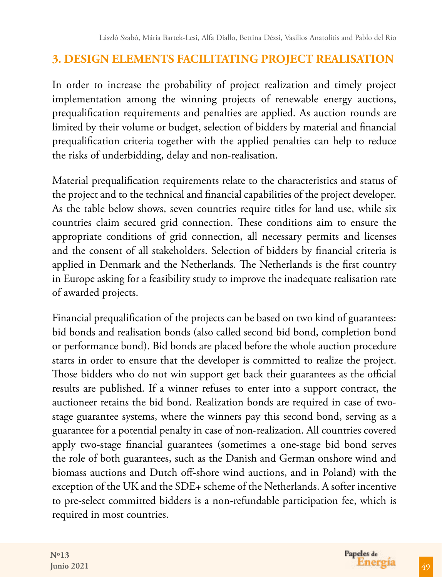### **3. DESIGN ELEMENTS FACILITATING PROJECT REALISATION**

In order to increase the probability of project realization and timely project implementation among the winning projects of renewable energy auctions, prequalification requirements and penalties are applied. As auction rounds are limited by their volume or budget, selection of bidders by material and financial prequalification criteria together with the applied penalties can help to reduce the risks of underbidding, delay and non-realisation.

Material prequalification requirements relate to the characteristics and status of the project and to the technical and financial capabilities of the project developer. As the table below shows, seven countries require titles for land use, while six countries claim secured grid connection. These conditions aim to ensure the appropriate conditions of grid connection, all necessary permits and licenses and the consent of all stakeholders. Selection of bidders by financial criteria is applied in Denmark and the Netherlands. The Netherlands is the first country in Europe asking for a feasibility study to improve the inadequate realisation rate of awarded projects.

Financial prequalification of the projects can be based on two kind of guarantees: bid bonds and realisation bonds (also called second bid bond, completion bond or performance bond). Bid bonds are placed before the whole auction procedure starts in order to ensure that the developer is committed to realize the project. Those bidders who do not win support get back their guarantees as the official results are published. If a winner refuses to enter into a support contract, the auctioneer retains the bid bond. Realization bonds are required in case of twostage guarantee systems, where the winners pay this second bond, serving as a guarantee for a potential penalty in case of non-realization. All countries covered apply two-stage financial guarantees (sometimes a one-stage bid bond serves the role of both guarantees, such as the Danish and German onshore wind and biomass auctions and Dutch off-shore wind auctions, and in Poland) with the exception of the UK and the SDE+ scheme of the Netherlands. A softer incentive to pre-select committed bidders is a non-refundable participation fee, which is required in most countries.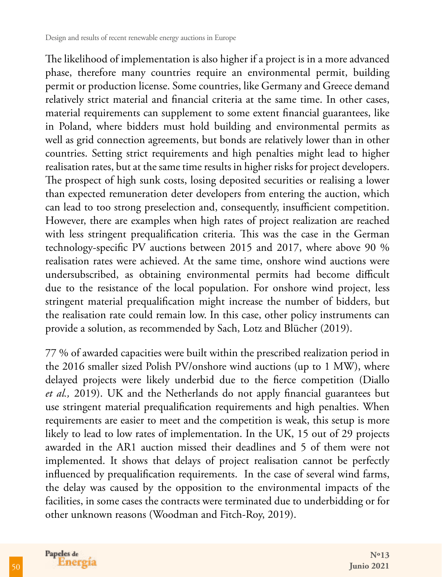The likelihood of implementation is also higher if a project is in a more advanced phase, therefore many countries require an environmental permit, building permit or production license. Some countries, like Germany and Greece demand relatively strict material and financial criteria at the same time. In other cases, material requirements can supplement to some extent financial guarantees, like in Poland, where bidders must hold building and environmental permits as well as grid connection agreements, but bonds are relatively lower than in other countries. Setting strict requirements and high penalties might lead to higher realisation rates, but at the same time results in higher risks for project developers. The prospect of high sunk costs, losing deposited securities or realising a lower than expected remuneration deter developers from entering the auction, which can lead to too strong preselection and, consequently, insufficient competition. However, there are examples when high rates of project realization are reached with less stringent prequalification criteria. This was the case in the German technology-specific PV auctions between 2015 and 2017, where above 90 % realisation rates were achieved. At the same time, onshore wind auctions were undersubscribed, as obtaining environmental permits had become difficult due to the resistance of the local population. For onshore wind project, less stringent material prequalification might increase the number of bidders, but the realisation rate could remain low. In this case, other policy instruments can provide a solution, as recommended by Sach, Lotz and Blücher (2019).

77 % of awarded capacities were built within the prescribed realization period in the 2016 smaller sized Polish PV/onshore wind auctions (up to 1 MW), where delayed projects were likely underbid due to the fierce competition (Diallo *et al.,* 2019). UK and the Netherlands do not apply financial guarantees but use stringent material prequalification requirements and high penalties. When requirements are easier to meet and the competition is weak, this setup is more likely to lead to low rates of implementation. In the UK, 15 out of 29 projects awarded in the AR1 auction missed their deadlines and 5 of them were not implemented. It shows that delays of project realisation cannot be perfectly influenced by prequalification requirements. In the case of several wind farms, the delay was caused by the opposition to the environmental impacts of the facilities, in some cases the contracts were terminated due to underbidding or for other unknown reasons (Woodman and Fitch-Roy, 2019).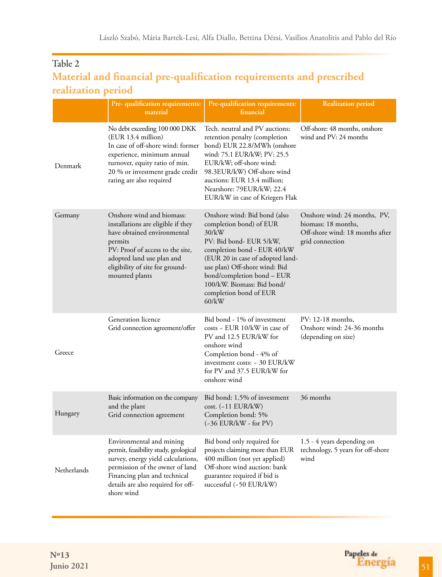### Table 2 **Material and financial pre-qualification requirements and prescribed realization period**

|             | Pre- qualification requirements:<br>material                                                                                                                                                                                    | Pre-qualification requirements:<br>financial                                                                                                                                                                                                                                                         | <b>Realization period</b>                                                                                 |
|-------------|---------------------------------------------------------------------------------------------------------------------------------------------------------------------------------------------------------------------------------|------------------------------------------------------------------------------------------------------------------------------------------------------------------------------------------------------------------------------------------------------------------------------------------------------|-----------------------------------------------------------------------------------------------------------|
| Denmark     | No debt exceeding 100 000 DKK<br>(EUR 13.4 million)<br>In case of off-shore wind: former<br>experience, minimum annual<br>turnover, equity ratio of min.<br>20 % or investment grade credit<br>rating are also required         | Tech. neutral and PV auctions:<br>retention penalty (completion<br>bond) EUR 22.8/MWh (onshore<br>wind: 75.1 EUR/kW; PV: 25.5<br>EUR/kW; off-shore wind:<br>98.3EUR/kW) Off-shore wind<br>auctions: EUR 13.4 million;<br>Nearshore: 79EUR/kW; 22.4<br>EUR/kW in case of Kriegers Flak                | Off-shore: 48 months, onshore<br>wind and PV: 24 months                                                   |
| Germany     | Onshore wind and biomass:<br>installations are eligible if they<br>have obtained environmental<br>permits<br>PV: Proof of access to the site,<br>adopted land use plan and<br>eligibility of site for ground-<br>mounted plants | Onshore wind: Bid bond (also<br>completion bond) of EUR<br>$30$ /kW<br>PV: Bid bond- EUR 5/kW,<br>completion bond - EUR 40/kW<br>(EUR 20 in case of adopted land-<br>use plan) Off-shore wind: Bid<br>bond/completion bond – EUR<br>100/kW. Biomass: Bid bond/<br>completion bond of EUR<br>$60$ /kW | Onshore wind: 24 months, PV,<br>biomass: 18 months,<br>Off-shore wind: 18 months after<br>grid connection |
| Greece      | Generation licence<br>Grid connection agreement/offer                                                                                                                                                                           | Bid bond - 1% of investment<br>costs - EUR 10/kW in case of<br>PV and 12.5 EUR/kW for<br>onshore wind<br>Completion bond - 4% of<br>investment costs: ~ 30 EUR/kW<br>for PV and 37.5 EUR/kW for<br>onshore wind                                                                                      | PV: 12-18 months,<br>Onshore wind: 24-36 months<br>(depending on size)                                    |
| Hungary     | Basic information on the company<br>and the plant<br>Grid connection agreement                                                                                                                                                  | Bid bond: 1.5% of investment<br>cost. (~11 EUR/kW)<br>Completion bond: 5%<br>$(-36$ EUR/kW - for PV)                                                                                                                                                                                                 | 36 months                                                                                                 |
| Netherlands | Environmental and mining<br>permit, feasibility study, geological<br>survey, energy yield calculations,<br>permission of the owner of land<br>Financing plan and technical<br>details are also required for off-<br>shore wind  | Bid bond only required for<br>projects claiming more than EUR<br>400 million (not yet applied)<br>Off-shore wind auction: bank<br>guarantee required if bid is<br>successful $(-50 \text{ EUR}/kW)$                                                                                                  | 1.5 - 4 years depending on<br>technology, 5 years for off-shore<br>wind                                   |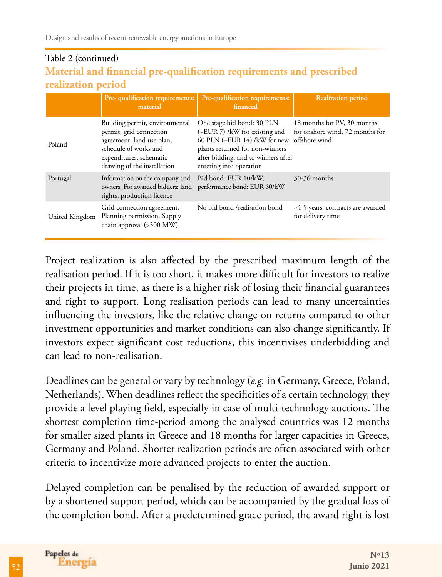### Table 2 (continued) **Material and financial pre-qualification requirements and prescribed realization period**

|                | Pre- qualification requirements:<br>material                                                                                                                              | Pre-qualification requirements:<br>financial                                                                                                                                                                   | <b>Realization period</b>                                      |
|----------------|---------------------------------------------------------------------------------------------------------------------------------------------------------------------------|----------------------------------------------------------------------------------------------------------------------------------------------------------------------------------------------------------------|----------------------------------------------------------------|
| Poland         | Building permit, environmental<br>permit, grid connection<br>agreement, land use plan,<br>schedule of works and<br>expenditures, schematic<br>drawing of the installation | One stage bid bond: 30 PLN<br>(-EUR 7) /kW for existing and<br>60 PLN (~EUR 14) /kW for new offshore wind<br>plants returned for non-winners<br>after bidding, and to winners after<br>entering into operation | 18 months for PV, 30 months<br>for onshore wind, 72 months for |
| Portugal       | Information on the company and<br>owners. For awarded bidders: land<br>rights, production licence                                                                         | Bid bond: EUR 10/kW,<br>performance bond: EUR 60/kW                                                                                                                                                            | 30-36 months                                                   |
| United Kingdom | Grid connection agreement,<br>Planning permission, Supply<br>chain approval (>300 MW)                                                                                     | No bid bond /realisation bond                                                                                                                                                                                  | -4-5 years, contracts are awarded<br>for delivery time         |

Project realization is also affected by the prescribed maximum length of the realisation period. If it is too short, it makes more difficult for investors to realize their projects in time, as there is a higher risk of losing their financial guarantees and right to support. Long realisation periods can lead to many uncertainties influencing the investors, like the relative change on returns compared to other investment opportunities and market conditions can also change significantly. If investors expect significant cost reductions, this incentivises underbidding and can lead to non-realisation.

Deadlines can be general or vary by technology (*e.g.* in Germany, Greece, Poland, Netherlands). When deadlines reflect the specificities of a certain technology, they provide a level playing field, especially in case of multi-technology auctions. The shortest completion time-period among the analysed countries was 12 months for smaller sized plants in Greece and 18 months for larger capacities in Greece, Germany and Poland. Shorter realization periods are often associated with other criteria to incentivize more advanced projects to enter the auction.

Delayed completion can be penalised by the reduction of awarded support or by a shortened support period, which can be accompanied by the gradual loss of the completion bond. After a predetermined grace period, the award right is lost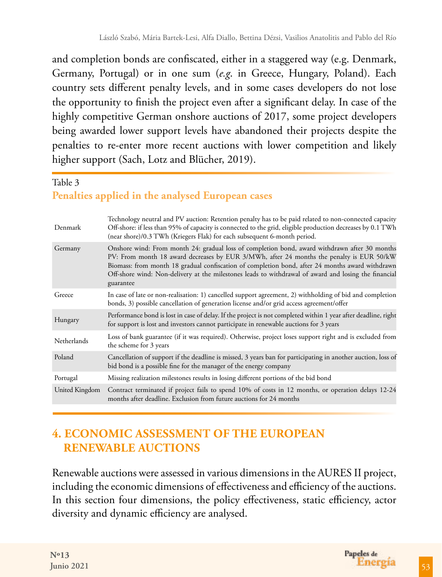and completion bonds are confiscated, either in a staggered way (e.g. Denmark, Germany, Portugal) or in one sum (*e.g*. in Greece, Hungary, Poland). Each country sets different penalty levels, and in some cases developers do not lose the opportunity to finish the project even after a significant delay. In case of the highly competitive German onshore auctions of 2017, some project developers being awarded lower support levels have abandoned their projects despite the penalties to re-enter more recent auctions with lower competition and likely higher support (Sach, Lotz and Blücher, 2019).

#### Table 3 **Penalties applied in the analysed European cases**

| Denmark        | Technology neutral and PV auction: Retention penalty has to be paid related to non-connected capacity<br>Off-shore: if less than 95% of capacity is connected to the grid, eligible production decreases by 0.1 TWh<br>(near shore)/0.3 TWh (Kriegers Flak) for each subsequent 6-month period.                                                                                                                   |
|----------------|-------------------------------------------------------------------------------------------------------------------------------------------------------------------------------------------------------------------------------------------------------------------------------------------------------------------------------------------------------------------------------------------------------------------|
| Germany        | Onshore wind: From month 24: gradual loss of completion bond, award withdrawn after 30 months<br>PV: From month 18 award decreases by EUR 3/MWh, after 24 months the penalty is EUR 50/kW<br>Biomass: from month 18 gradual confiscation of completion bond, after 24 months award withdrawn<br>Off-shore wind: Non-delivery at the milestones leads to withdrawal of award and losing the financial<br>guarantee |
| Greece         | In case of late or non-realisation: 1) cancelled support agreement, 2) withholding of bid and completion<br>bonds, 3) possible cancellation of generation license and/or grid access agreement/offer                                                                                                                                                                                                              |
| Hungary        | Performance bond is lost in case of delay. If the project is not completed within 1 year after deadline, right<br>for support is lost and investors cannot participate in renewable auctions for 3 years                                                                                                                                                                                                          |
| Netherlands    | Loss of bank guarantee (if it was required). Otherwise, project loses support right and is excluded from<br>the scheme for 3 years                                                                                                                                                                                                                                                                                |
| Poland         | Cancellation of support if the deadline is missed, 3 years ban for participating in another auction, loss of<br>bid bond is a possible fine for the manager of the energy company                                                                                                                                                                                                                                 |
| Portugal       | Missing realization milestones results in losing different portions of the bid bond                                                                                                                                                                                                                                                                                                                               |
| United Kingdom | Contract terminated if project fails to spend 10% of costs in 12 months, or operation delays 12-24<br>months after deadline. Exclusion from future auctions for 24 months                                                                                                                                                                                                                                         |

# **4. ECONOMIC ASSESSMENT OF THE EUROPEAN RENEWABLE AUCTIONS**

Renewable auctions were assessed in various dimensions in the AURES II project, including the economic dimensions of effectiveness and efficiency of the auctions. In this section four dimensions, the policy effectiveness, static efficiency, actor diversity and dynamic efficiency are analysed.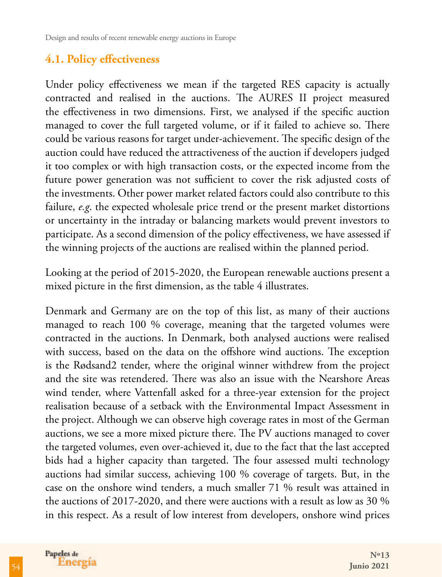### **4.1. Policy effectiveness**

Under policy effectiveness we mean if the targeted RES capacity is actually contracted and realised in the auctions. The AURES II project measured the effectiveness in two dimensions. First, we analysed if the specific auction managed to cover the full targeted volume, or if it failed to achieve so. There could be various reasons for target under-achievement. The specific design of the auction could have reduced the attractiveness of the auction if developers judged it too complex or with high transaction costs, or the expected income from the future power generation was not sufficient to cover the risk adjusted costs of the investments. Other power market related factors could also contribute to this failure, *e.g*. the expected wholesale price trend or the present market distortions or uncertainty in the intraday or balancing markets would prevent investors to participate. As a second dimension of the policy effectiveness, we have assessed if the winning projects of the auctions are realised within the planned period.

Looking at the period of 2015-2020, the European renewable auctions present a mixed picture in the first dimension, as the table 4 illustrates.

Denmark and Germany are on the top of this list, as many of their auctions managed to reach 100 % coverage, meaning that the targeted volumes were contracted in the auctions. In Denmark, both analysed auctions were realised with success, based on the data on the offshore wind auctions. The exception is the Rødsand2 tender, where the original winner withdrew from the project and the site was retendered. There was also an issue with the Nearshore Areas wind tender, where Vattenfall asked for a three-year extension for the project realisation because of a setback with the Environmental Impact Assessment in the project. Although we can observe high coverage rates in most of the German auctions, we see a more mixed picture there. The PV auctions managed to cover the targeted volumes, even over-achieved it, due to the fact that the last accepted bids had a higher capacity than targeted. The four assessed multi technology auctions had similar success, achieving 100 % coverage of targets. But, in the case on the onshore wind tenders, a much smaller 71 % result was attained in the auctions of 2017-2020, and there were auctions with a result as low as 30 % in this respect. As a result of low interest from developers, onshore wind prices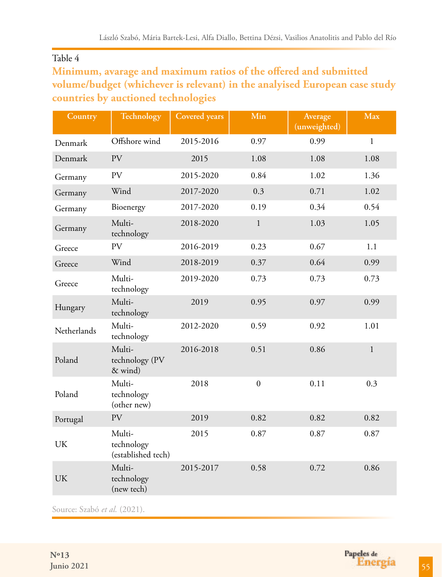#### Table 4

### **Minimum, avarage and maximum ratios of the offered and submitted volume/budget (whichever is relevant) in the analyised European case study countries by auctioned technologies**

| Country     | Technology                                 | <b>Covered</b> years | Min            | Average<br>(unweighted) | <b>Max</b>   |
|-------------|--------------------------------------------|----------------------|----------------|-------------------------|--------------|
| Denmark     | Offshore wind                              | 2015-2016            | 0.97           | 0.99                    | $\mathbf{1}$ |
| Denmark     | PV                                         | 2015                 | 1.08           | 1.08                    | 1.08         |
| Germany     | PV                                         | 0.84<br>2015-2020    |                | 1.02                    | 1.36         |
| Germany     | Wind                                       | 2017-2020            | 0.3            | 0.71                    | 1.02         |
| Germany     | Bioenergy                                  | 2017-2020            | 0.19           | 0.34                    | 0.54         |
| Germany     | Multi-<br>technology                       | 2018-2020            | $\mathbf{1}$   | 1.03                    | 1.05         |
| Greece      | <b>PV</b>                                  | 2016-2019            | 0.23           | 0.67                    | 1.1          |
| Greece      | Wind                                       | 2018-2019            | 0.37           | 0.64                    | 0.99         |
| Greece      | Multi-<br>technology                       | 2019-2020            | 0.73           | 0.73                    | 0.73         |
| Hungary     | Multi-<br>technology                       | 2019                 | 0.95           | 0.97                    | 0.99         |
| Netherlands | Multi-<br>technology                       | 2012-2020            | 0.59           | 0.92                    | 1.01         |
| Poland      | Multi-<br>technology (PV<br>& wind)        | 2016-2018            | 0.51           | 0.86                    | $\mathbf{1}$ |
| Poland      | Multi-<br>technology<br>(other new)        | 2018                 | $\overline{0}$ | 0.11                    | 0.3          |
| Portugal    | PV                                         | 2019                 | 0.82           | 0.82                    | 0.82         |
| UK          | Multi-<br>technology<br>(established tech) | 2015                 | 0.87           | 0.87                    | 0.87         |
| <b>UK</b>   | Multi-<br>technology<br>(new tech)         | 2015-2017            | 0.58           | 0.72                    | 0.86         |

Source: Szabó et al. (2021).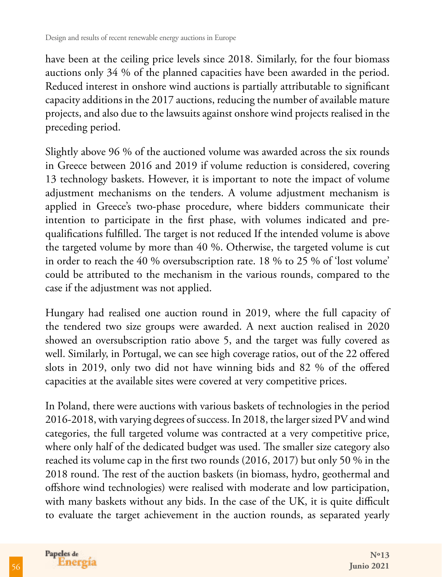have been at the ceiling price levels since 2018. Similarly, for the four biomass auctions only 34 % of the planned capacities have been awarded in the period. Reduced interest in onshore wind auctions is partially attributable to significant capacity additions in the 2017 auctions, reducing the number of available mature projects, and also due to the lawsuits against onshore wind projects realised in the preceding period.

Slightly above 96 % of the auctioned volume was awarded across the six rounds in Greece between 2016 and 2019 if volume reduction is considered, covering 13 technology baskets. However, it is important to note the impact of volume adjustment mechanisms on the tenders. A volume adjustment mechanism is applied in Greece's two-phase procedure, where bidders communicate their intention to participate in the first phase, with volumes indicated and prequalifications fulfilled. The target is not reduced If the intended volume is above the targeted volume by more than 40 %. Otherwise, the targeted volume is cut in order to reach the 40 % oversubscription rate. 18 % to 25 % of 'lost volume' could be attributed to the mechanism in the various rounds, compared to the case if the adjustment was not applied.

Hungary had realised one auction round in 2019, where the full capacity of the tendered two size groups were awarded. A next auction realised in 2020 showed an oversubscription ratio above 5, and the target was fully covered as well. Similarly, in Portugal, we can see high coverage ratios, out of the 22 offered slots in 2019, only two did not have winning bids and 82 % of the offered capacities at the available sites were covered at very competitive prices.

In Poland, there were auctions with various baskets of technologies in the period 2016-2018, with varying degrees of success. In 2018, the larger sized PV and wind categories, the full targeted volume was contracted at a very competitive price, where only half of the dedicated budget was used. The smaller size category also reached its volume cap in the first two rounds (2016, 2017) but only 50 % in the 2018 round. The rest of the auction baskets (in biomass, hydro, geothermal and offshore wind technologies) were realised with moderate and low participation, with many baskets without any bids. In the case of the UK, it is quite difficult to evaluate the target achievement in the auction rounds, as separated yearly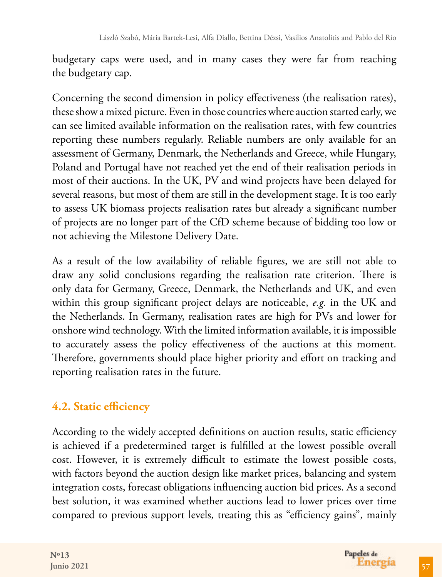budgetary caps were used, and in many cases they were far from reaching the budgetary cap.

Concerning the second dimension in policy effectiveness (the realisation rates), these show a mixed picture. Even in those countries where auction started early, we can see limited available information on the realisation rates, with few countries reporting these numbers regularly. Reliable numbers are only available for an assessment of Germany, Denmark, the Netherlands and Greece, while Hungary, Poland and Portugal have not reached yet the end of their realisation periods in most of their auctions. In the UK, PV and wind projects have been delayed for several reasons, but most of them are still in the development stage. It is too early to assess UK biomass projects realisation rates but already a significant number of projects are no longer part of the CfD scheme because of bidding too low or not achieving the Milestone Delivery Date.

As a result of the low availability of reliable figures, we are still not able to draw any solid conclusions regarding the realisation rate criterion. There is only data for Germany, Greece, Denmark, the Netherlands and UK, and even within this group significant project delays are noticeable, *e.g.* in the UK and the Netherlands. In Germany, realisation rates are high for PVs and lower for onshore wind technology. With the limited information available, it is impossible to accurately assess the policy effectiveness of the auctions at this moment. Therefore, governments should place higher priority and effort on tracking and reporting realisation rates in the future.

# **4.2. Static efficiency**

According to the widely accepted definitions on auction results, static efficiency is achieved if a predetermined target is fulfilled at the lowest possible overall cost. However, it is extremely difficult to estimate the lowest possible costs, with factors beyond the auction design like market prices, balancing and system integration costs, forecast obligations influencing auction bid prices. As a second best solution, it was examined whether auctions lead to lower prices over time compared to previous support levels, treating this as "efficiency gains", mainly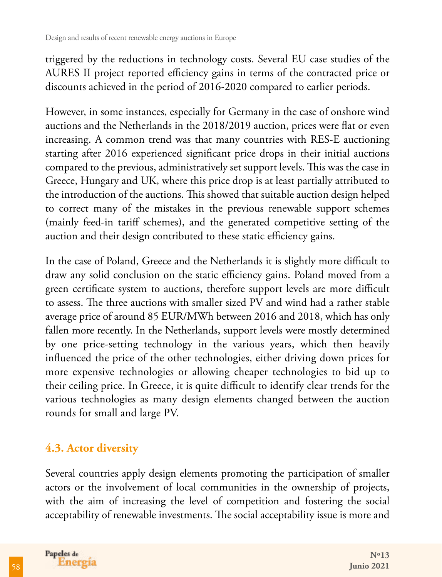triggered by the reductions in technology costs. Several EU case studies of the AURES II project reported efficiency gains in terms of the contracted price or discounts achieved in the period of 2016-2020 compared to earlier periods.

However, in some instances, especially for Germany in the case of onshore wind auctions and the Netherlands in the 2018/2019 auction, prices were flat or even increasing. A common trend was that many countries with RES-E auctioning starting after 2016 experienced significant price drops in their initial auctions compared to the previous, administratively set support levels. This was the case in Greece, Hungary and UK, where this price drop is at least partially attributed to the introduction of the auctions. This showed that suitable auction design helped to correct many of the mistakes in the previous renewable support schemes (mainly feed-in tariff schemes), and the generated competitive setting of the auction and their design contributed to these static efficiency gains.

In the case of Poland, Greece and the Netherlands it is slightly more difficult to draw any solid conclusion on the static efficiency gains. Poland moved from a green certificate system to auctions, therefore support levels are more difficult to assess. The three auctions with smaller sized PV and wind had a rather stable average price of around 85 EUR/MWh between 2016 and 2018, which has only fallen more recently. In the Netherlands, support levels were mostly determined by one price-setting technology in the various years, which then heavily influenced the price of the other technologies, either driving down prices for more expensive technologies or allowing cheaper technologies to bid up to their ceiling price. In Greece, it is quite difficult to identify clear trends for the various technologies as many design elements changed between the auction rounds for small and large PV.

### **4.3. Actor diversity**

Several countries apply design elements promoting the participation of smaller actors or the involvement of local communities in the ownership of projects, with the aim of increasing the level of competition and fostering the social acceptability of renewable investments. The social acceptability issue is more and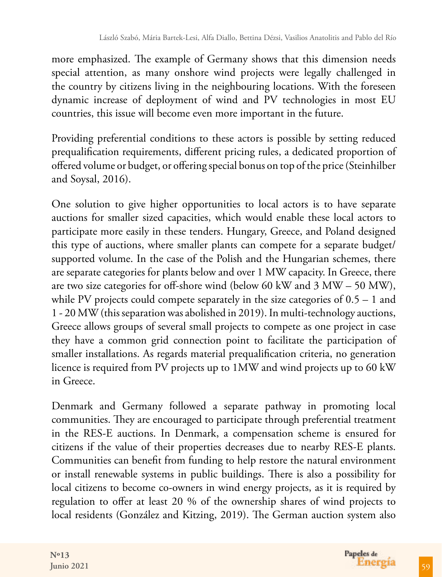more emphasized. The example of Germany shows that this dimension needs special attention, as many onshore wind projects were legally challenged in the country by citizens living in the neighbouring locations. With the foreseen dynamic increase of deployment of wind and PV technologies in most EU countries, this issue will become even more important in the future.

Providing preferential conditions to these actors is possible by setting reduced prequalification requirements, different pricing rules, a dedicated proportion of offered volume or budget, or offering special bonus on top of the price (Steinhilber and Soysal, 2016).

One solution to give higher opportunities to local actors is to have separate auctions for smaller sized capacities, which would enable these local actors to participate more easily in these tenders. Hungary, Greece, and Poland designed this type of auctions, where smaller plants can compete for a separate budget/ supported volume. In the case of the Polish and the Hungarian schemes, there are separate categories for plants below and over 1 MW capacity. In Greece, there are two size categories for off-shore wind (below 60 kW and 3 MW – 50 MW), while PV projects could compete separately in the size categories of  $0.5 - 1$  and 1 - 20 MW (this separation was abolished in 2019). In multi-technology auctions, Greece allows groups of several small projects to compete as one project in case they have a common grid connection point to facilitate the participation of smaller installations. As regards material prequalification criteria, no generation licence is required from PV projects up to 1MW and wind projects up to 60 kW in Greece.

Denmark and Germany followed a separate pathway in promoting local communities. They are encouraged to participate through preferential treatment in the RES-E auctions. In Denmark, a compensation scheme is ensured for citizens if the value of their properties decreases due to nearby RES-E plants. Communities can benefit from funding to help restore the natural environment or install renewable systems in public buildings. There is also a possibility for local citizens to become co-owners in wind energy projects, as it is required by regulation to offer at least 20 % of the ownership shares of wind projects to local residents (González and Kitzing, 2019). The German auction system also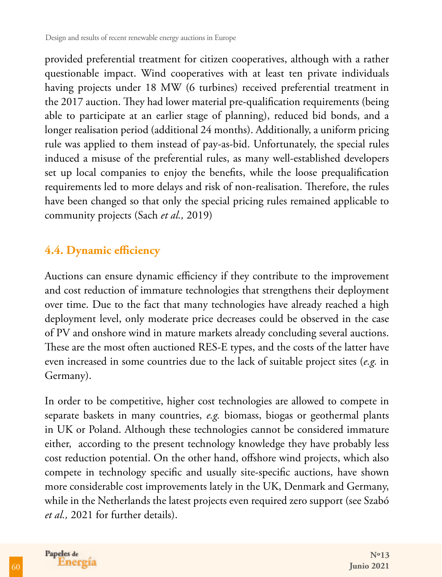provided preferential treatment for citizen cooperatives, although with a rather questionable impact. Wind cooperatives with at least ten private individuals having projects under 18 MW (6 turbines) received preferential treatment in the 2017 auction. They had lower material pre-qualification requirements (being able to participate at an earlier stage of planning), reduced bid bonds, and a longer realisation period (additional 24 months). Additionally, a uniform pricing rule was applied to them instead of pay-as-bid. Unfortunately, the special rules induced a misuse of the preferential rules, as many well-established developers set up local companies to enjoy the benefits, while the loose prequalification requirements led to more delays and risk of non-realisation. Therefore, the rules have been changed so that only the special pricing rules remained applicable to community projects (Sach *et al.,* 2019)

### **4.4. Dynamic efficiency**

Auctions can ensure dynamic efficiency if they contribute to the improvement and cost reduction of immature technologies that strengthens their deployment over time. Due to the fact that many technologies have already reached a high deployment level, only moderate price decreases could be observed in the case of PV and onshore wind in mature markets already concluding several auctions. These are the most often auctioned RES-E types, and the costs of the latter have even increased in some countries due to the lack of suitable project sites (*e.g.* in Germany).

In order to be competitive, higher cost technologies are allowed to compete in separate baskets in many countries, *e.g.* biomass, biogas or geothermal plants in UK or Poland. Although these technologies cannot be considered immature either, according to the present technology knowledge they have probably less cost reduction potential. On the other hand, offshore wind projects, which also compete in technology specific and usually site-specific auctions, have shown more considerable cost improvements lately in the UK, Denmark and Germany, while in the Netherlands the latest projects even required zero support (see Szabó *et al.,* 2021 for further details).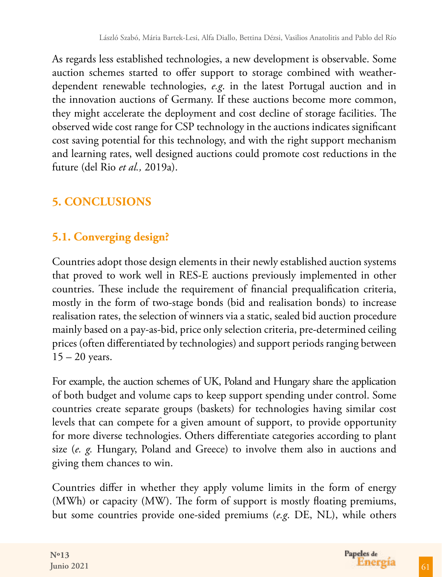As regards less established technologies, a new development is observable. Some auction schemes started to offer support to storage combined with weatherdependent renewable technologies, *e.g*. in the latest Portugal auction and in the innovation auctions of Germany. If these auctions become more common, they might accelerate the deployment and cost decline of storage facilities. The observed wide cost range for CSP technology in the auctions indicates significant cost saving potential for this technology, and with the right support mechanism and learning rates, well designed auctions could promote cost reductions in the future (del Rio *et al.,* 2019a).

# **5. CONCLUSIONS**

# **5.1. Converging design?**

Countries adopt those design elements in their newly established auction systems that proved to work well in RES-E auctions previously implemented in other countries. These include the requirement of financial prequalification criteria, mostly in the form of two-stage bonds (bid and realisation bonds) to increase realisation rates, the selection of winners via a static, sealed bid auction procedure mainly based on a pay-as-bid, price only selection criteria, pre-determined ceiling prices (often differentiated by technologies) and support periods ranging between  $15 - 20$  years.

For example, the auction schemes of UK, Poland and Hungary share the application of both budget and volume caps to keep support spending under control. Some countries create separate groups (baskets) for technologies having similar cost levels that can compete for a given amount of support, to provide opportunity for more diverse technologies. Others differentiate categories according to plant size (*e. g.* Hungary, Poland and Greece) to involve them also in auctions and giving them chances to win.

Countries differ in whether they apply volume limits in the form of energy (MWh) or capacity (MW). The form of support is mostly floating premiums, but some countries provide one-sided premiums (*e.g*. DE, NL), while others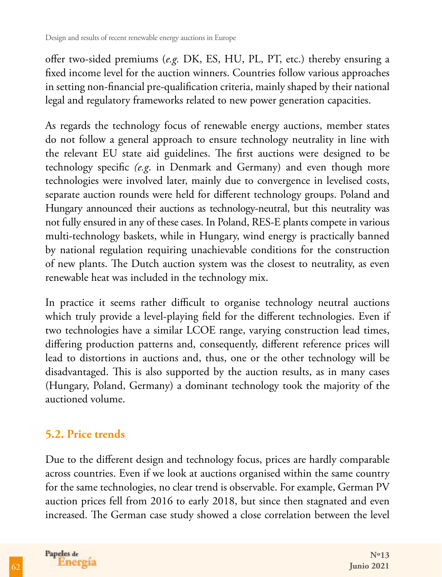offer two-sided premiums (*e.g.* DK, ES, HU, PL, PT, etc.) thereby ensuring a fixed income level for the auction winners. Countries follow various approaches in setting non-financial pre-qualification criteria, mainly shaped by their national legal and regulatory frameworks related to new power generation capacities.

As regards the technology focus of renewable energy auctions, member states do not follow a general approach to ensure technology neutrality in line with the relevant EU state aid guidelines. The first auctions were designed to be technology specific *(e.g*. in Denmark and Germany) and even though more technologies were involved later, mainly due to convergence in levelised costs, separate auction rounds were held for different technology groups. Poland and Hungary announced their auctions as technology-neutral, but this neutrality was not fully ensured in any of these cases. In Poland, RES-E plants compete in various multi-technology baskets, while in Hungary, wind energy is practically banned by national regulation requiring unachievable conditions for the construction of new plants. The Dutch auction system was the closest to neutrality, as even renewable heat was included in the technology mix.

In practice it seems rather difficult to organise technology neutral auctions which truly provide a level-playing field for the different technologies. Even if two technologies have a similar LCOE range, varying construction lead times, differing production patterns and, consequently, different reference prices will lead to distortions in auctions and, thus, one or the other technology will be disadvantaged. This is also supported by the auction results, as in many cases (Hungary, Poland, Germany) a dominant technology took the majority of the auctioned volume.

# **5.2. Price trends**

Due to the different design and technology focus, prices are hardly comparable across countries. Even if we look at auctions organised within the same country for the same technologies, no clear trend is observable. For example, German PV auction prices fell from 2016 to early 2018, but since then stagnated and even increased. The German case study showed a close correlation between the level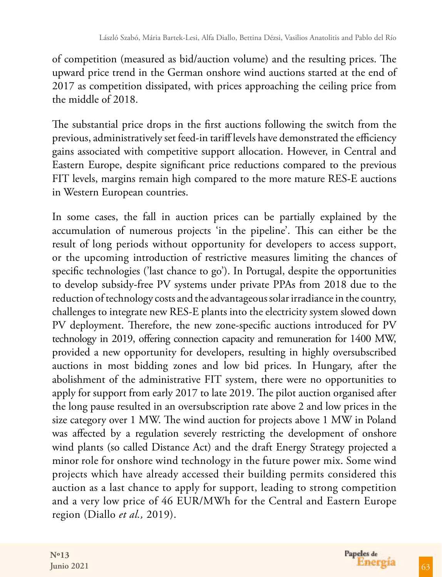of competition (measured as bid/auction volume) and the resulting prices. The upward price trend in the German onshore wind auctions started at the end of 2017 as competition dissipated, with prices approaching the ceiling price from the middle of 2018.

The substantial price drops in the first auctions following the switch from the previous, administratively set feed-in tariff levels have demonstrated the efficiency gains associated with competitive support allocation. However, in Central and Eastern Europe, despite significant price reductions compared to the previous FIT levels, margins remain high compared to the more mature RES-E auctions in Western European countries.

In some cases, the fall in auction prices can be partially explained by the accumulation of numerous projects 'in the pipeline'. This can either be the result of long periods without opportunity for developers to access support, or the upcoming introduction of restrictive measures limiting the chances of specific technologies ('last chance to go'). In Portugal, despite the opportunities to develop subsidy-free PV systems under private PPAs from 2018 due to the reduction of technology costs and the advantageous solar irradiance in the country, challenges to integrate new RES-E plants into the electricity system slowed down PV deployment. Therefore, the new zone-specific auctions introduced for PV technology in 2019, offering connection capacity and remuneration for 1400 MW, provided a new opportunity for developers, resulting in highly oversubscribed auctions in most bidding zones and low bid prices. In Hungary, after the abolishment of the administrative FIT system, there were no opportunities to apply for support from early 2017 to late 2019. The pilot auction organised after the long pause resulted in an oversubscription rate above 2 and low prices in the size category over 1 MW. The wind auction for projects above 1 MW in Poland was affected by a regulation severely restricting the development of onshore wind plants (so called Distance Act) and the draft Energy Strategy projected a minor role for onshore wind technology in the future power mix. Some wind projects which have already accessed their building permits considered this auction as a last chance to apply for support, leading to strong competition and a very low price of 46 EUR/MWh for the Central and Eastern Europe region (Diallo *et al.,* 2019).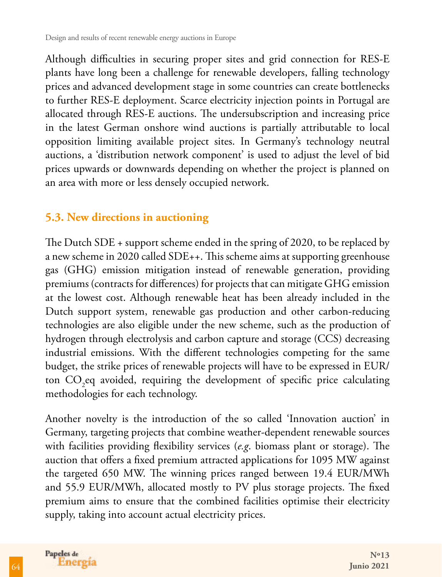Although difficulties in securing proper sites and grid connection for RES-E plants have long been a challenge for renewable developers, falling technology prices and advanced development stage in some countries can create bottlenecks to further RES-E deployment. Scarce electricity injection points in Portugal are allocated through RES-E auctions. The undersubscription and increasing price in the latest German onshore wind auctions is partially attributable to local opposition limiting available project sites. In Germany's technology neutral auctions, a 'distribution network component' is used to adjust the level of bid prices upwards or downwards depending on whether the project is planned on an area with more or less densely occupied network.

### **5.3. New directions in auctioning**

The Dutch SDE + support scheme ended in the spring of 2020, to be replaced by a new scheme in 2020 called SDE++. This scheme aims at supporting greenhouse gas (GHG) emission mitigation instead of renewable generation, providing premiums (contracts for differences) for projects that can mitigate GHG emission at the lowest cost. Although renewable heat has been already included in the Dutch support system, renewable gas production and other carbon-reducing technologies are also eligible under the new scheme, such as the production of hydrogen through electrolysis and carbon capture and storage (CCS) decreasing industrial emissions. With the different technologies competing for the same budget, the strike prices of renewable projects will have to be expressed in EUR/ ton  $CO_2$ eq avoided, requiring the development of specific price calculating methodologies for each technology.

Another novelty is the introduction of the so called 'Innovation auction' in Germany, targeting projects that combine weather-dependent renewable sources with facilities providing flexibility services (*e.g*. biomass plant or storage). The auction that offers a fixed premium attracted applications for 1095 MW against the targeted 650 MW. The winning prices ranged between 19.4 EUR/MWh and 55.9 EUR/MWh, allocated mostly to PV plus storage projects. The fixed premium aims to ensure that the combined facilities optimise their electricity supply, taking into account actual electricity prices.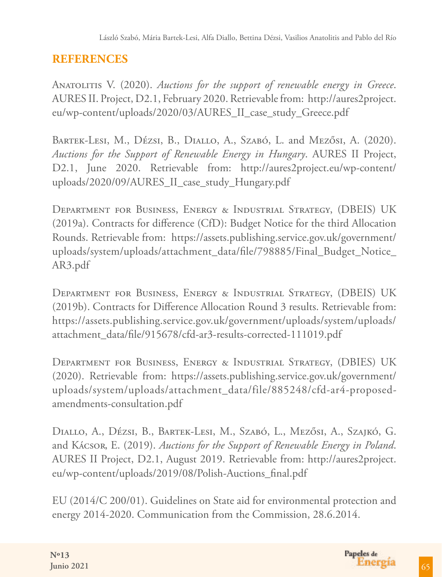# **REFERENCES**

Anatolitis V. (2020). *Auctions for the support of renewable energy in Greece*. AURES II. Project, D2.1, February 2020. Retrievable from: http://aures2project. eu/wp-content/uploads/2020/03/AURES\_II\_case\_study\_Greece.pdf

BARTEK-LESI, M., Dézsi, B., DIALLO, A., Szabó, L. and Mezősi, A. (2020). *Auctions for the Support of Renewable Energy in Hungary*. AURES II Project, D2.1, June 2020. Retrievable from: http://aures2project.eu/wp-content/ uploads/2020/09/AURES\_II\_case\_study\_Hungary.pdf

Department for Business, Energy & Industrial Strategy, (DBEIS) UK (2019a). Contracts for difference (CfD): Budget Notice for the third Allocation Rounds. Retrievable from: https://assets.publishing.service.gov.uk/government/ uploads/system/uploads/attachment\_data/file/798885/Final\_Budget\_Notice\_ AR3.pdf

Department for Business, Energy & Industrial Strategy, (DBEIS) UK (2019b). Contracts for Difference Allocation Round 3 results. Retrievable from: https://assets.publishing.service.gov.uk/government/uploads/system/uploads/ attachment\_data/file/915678/cfd-ar3-results-corrected-111019.pdf

Department for Business, Energy & Industrial Strategy, (DBIES) UK (2020). Retrievable from: https://assets.publishing.service.gov.uk/government/ uploads/system/uploads/attachment\_data/file/885248/cfd-ar4-proposedamendments-consultation.pdf

Diallo, A., Dézsi, B., Bartek-Lesi, M., Szabó, L., Mezősi, A., Szajkó, G. and Kácsor, E. (2019). *Auctions for the Support of Renewable Energy in Poland*. AURES II Project, D2.1, August 2019. Retrievable from: http://aures2project. eu/wp-content/uploads/2019/08/Polish-Auctions\_final.pdf

EU (2014/C 200/01). Guidelines on State aid for environmental protection and energy 2014-2020. Communication from the Commission, 28.6.2014.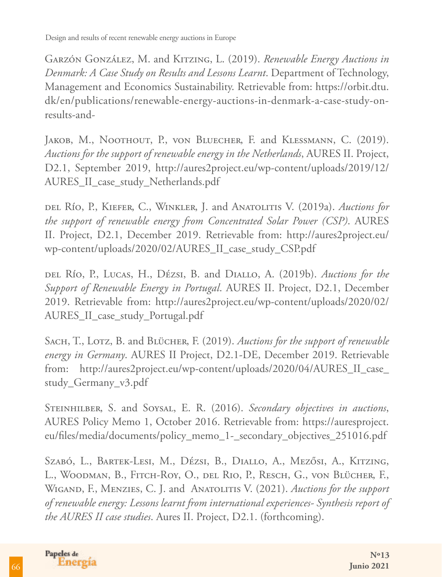Garzón González, M. and Kitzing, L. (2019). *Renewable Energy Auctions in Denmark: A Case Study on Results and Lessons Learnt*. Department of Technology, Management and Economics Sustainability. Retrievable from: https://orbit.dtu. dk/en/publications/renewable-energy-auctions-in-denmark-a-case-study-onresults-and-

JAKOB, M., NOOTHOUT, P., VON BLUECHER, F. and KLESSMANN, C. (2019). *Auctions for the support of renewable energy in the Netherlands*, AURES II. Project, D2.1, September 2019, http://aures2project.eu/wp-content/uploads/2019/12/ AURES\_II\_case\_study\_Netherlands.pdf

del Río, P., Kiefer, C., Winkler, J. and Anatolitis V. (2019a). *Auctions for the support of renewable energy from Concentrated Solar Power (CSP)*. AURES II. Project, D2.1, December 2019. Retrievable from: http://aures2project.eu/ wp-content/uploads/2020/02/AURES\_II\_case\_study\_CSP.pdf

del Río, P., Lucas, H., Dézsi, B. and Diallo, A. (2019b). *Auctions for the Support of Renewable Energy in Portugal*. AURES II. Project, D2.1, December 2019. Retrievable from: http://aures2project.eu/wp-content/uploads/2020/02/ AURES\_II\_case\_study\_Portugal.pdf

SACH, T., LOTZ, B. and BLÜCHER, F. (2019). *Auctions for the support of renewable energy in Germany*. AURES II Project, D2.1-DE, December 2019. Retrievable from: http://aures2project.eu/wp-content/uploads/2020/04/AURES\_II\_case\_ study\_Germany\_v3.pdf

Steinhilber, S. and Soysal, E. R. (2016). *Secondary objectives in auctions*, AURES Policy Memo 1, October 2016. Retrievable from: https://auresproject. eu/files/media/documents/policy\_memo\_1-\_secondary\_objectives\_251016.pdf

Szabó, L., Bartek-Lesi, M., Dézsi, B., Diallo, A., Mezősi, A., Kitzing, L., Woodman, B., Fitch-Roy, O., del Rio, P., Resch, G., von Blücher, F., WIGAND, F., MENZIES, C. J. and ANATOLITIS V. (2021). *Auctions for the support of renewable energy: Lessons learnt from international experiences- Synthesis report of the AURES II case studies*. Aures II. Project, D2.1. (forthcoming).